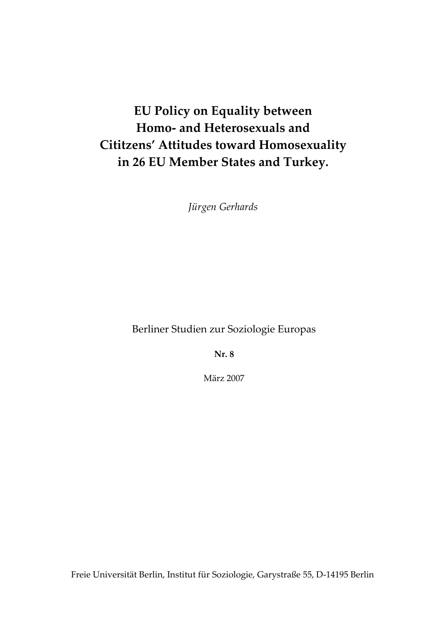# **EU Policy on Equality between Homo‐ and Heterosexuals and Cititzens' Attitudes toward Homosexuality in 26 EU Member States and Turkey.**

*Jürgen Gerhards*

Berliner Studien zur Soziologie Europas

**Nr. 8**

März 2007

Freie Universität Berlin, Institut für Soziologie, Garystraße 55, D‐14195 Berlin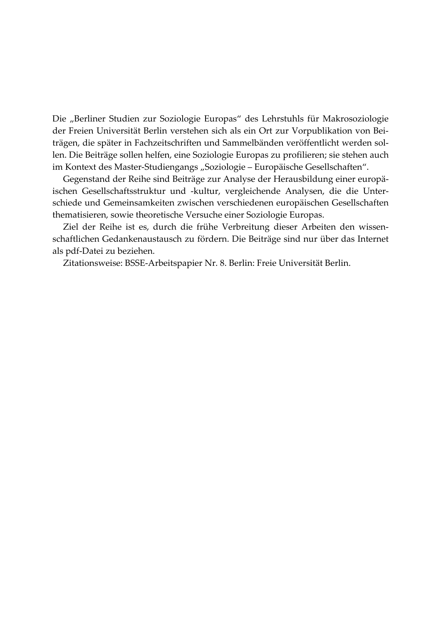Die "Berliner Studien zur Soziologie Europas" des Lehrstuhls für Makrosoziologie der Freien Universität Berlin verstehen sich als ein Ort zur Vorpublikation von Bei‐ trägen, die später in Fachzeitschriften und Sammelbänden veröffentlicht werden sol‐ len. Die Beiträge sollen helfen, eine Soziologie Europas zu profilieren; sie stehen auch im Kontext des Master-Studiengangs "Soziologie – Europäische Gesellschaften".

Gegenstand der Reihe sind Beiträge zur Analyse der Herausbildung einer europä‐ ischen Gesellschaftsstruktur und -kultur, vergleichende Analysen, die die Unterschiede und Gemeinsamkeiten zwischen verschiedenen europäischen Gesellschaften thematisieren, sowie theoretische Versuche einer Soziologie Europas.

Ziel der Reihe ist es, durch die frühe Verbreitung dieser Arbeiten den wissen‐ schaftlichen Gedankenaustausch zu fördern. Die Beiträge sind nur über das Internet als pdf‐Datei zu beziehen.

Zitationsweise: BSSE‐Arbeitspapier Nr. 8. Berlin: Freie Universität Berlin.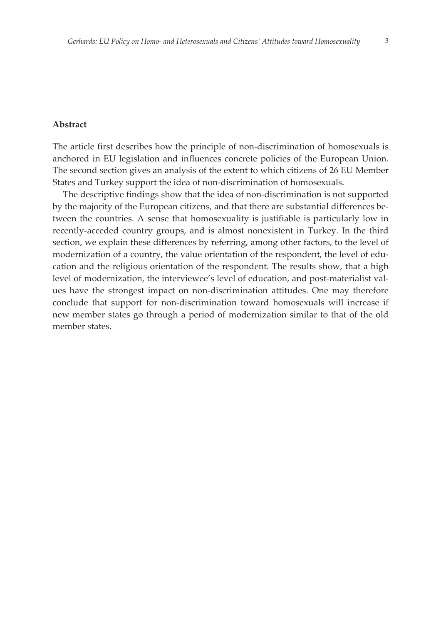#### **Abstract**

The article first describes how the principle of non-discrimination of homosexuals is anchored in EU legislation and influences concrete policies of the European Union. The second section gives an analysis of the extent to which citizens of 26 EU Member States and Turkey support the idea of non-discrimination of homosexuals.

The descriptive findings show that the idea of non-discrimination is not supported by the majority of the European citizens, and that there are substantial differences between the countries. A sense that homosexuality is justifiable is particularly low in recently-acceded country groups, and is almost nonexistent in Turkey. In the third section, we explain these differences by referring, among other factors, to the level of modernization of a country, the value orientation of the respondent, the level of education and the religious orientation of the respondent. The results show, that a high level of modernization, the interviewee's level of education, and post-materialist values have the strongest impact on non-discrimination attitudes. One may therefore conclude that support for non-discrimination toward homosexuals will increase if new member states go through a period of modernization similar to that of the old member states.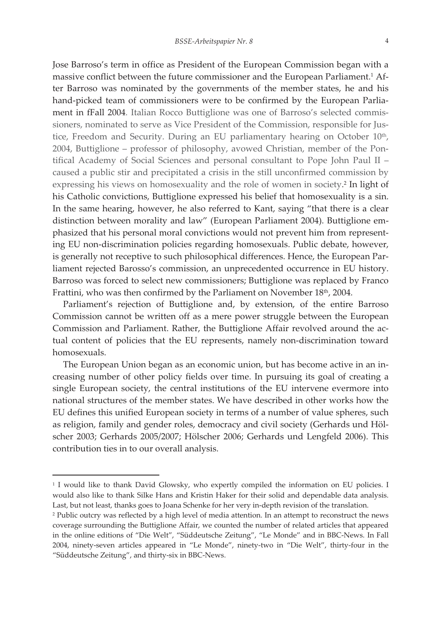Jose Barroso's term in office as President of the European Commission began with a massive conflict between the future commissioner and the European Parliament.<sup>1</sup> After Barroso was nominated by the governments of the member states, he and his hand-picked team of commissioners were to be confirmed by the European Parliament in fFall 2004. Italian Rocco Buttiglione was one of Barroso's selected commissioners, nominated to serve as Vice President of the Commission, responsible for Justice, Freedom and Security. During an EU parliamentary hearing on October 10<sup>th</sup>, 2004, Buttiglione – professor of philosophy, avowed Christian, member of the Pontifical Academy of Social Sciences and personal consultant to Pope John Paul II – caused a public stir and precipitated a crisis in the still unconfirmed commission by expressing his views on homosexuality and the role of women in society. <sup>2</sup> In light of his Catholic convictions, Buttiglione expressed his belief that homosexuality is a sin. In the same hearing, however, he also referred to Kant, saying "that there is a clear distinction between morality and law" (European Parliament 2004). Buttiglione emphasized that his personal moral convictions would not prevent him from representing EU non-discrimination policies regarding homosexuals. Public debate, however, is generally not receptive to such philosophical differences. Hence, the European Parliament rejected Barosso's commission, an unprecedented occurrence in EU history. Barroso was forced to select new commissioners; Buttiglione was replaced by Franco Frattini, who was then confirmed by the Parliament on November 18<sup>th</sup>, 2004.

Parliament's rejection of Buttiglione and, by extension, of the entire Barroso Commission cannot be written off as a mere power struggle between the European Commission and Parliament. Rather, the Buttiglione Affair revolved around the actual content of policies that the EU represents, namely non-discrimination toward homosexuals.

The European Union began as an economic union, but has become active in an increasing number of other policy fields over time. In pursuing its goal of creating a single European society, the central institutions of the EU intervene evermore into national structures of the member states. We have described in other works how the EU defines this unified European society in terms of a number of value spheres, such as religion, family and gender roles, democracy and civil society (Gerhards und Hölscher 2003; Gerhards 2005/2007; Hölscher 2006; Gerhards und Lengfeld 2006). This contribution ties in to our overall analysis.

 $\Box$ 

<sup>&</sup>lt;sup>1</sup> I would like to thank David Glowsky, who expertly compiled the information on EU policies. I would also like to thank Silke Hans and Kristin Haker for their solid and dependable data analysis. Last, but not least, thanks goes to Joana Schenke for her very in-depth revision of the translation.

<sup>2</sup> Public outcry was reflected by a high level of media attention. In an attempt to reconstruct the news coverage surrounding the Buttiglione Affair, we counted the number of related articles that appeared in the online editions of "Die Welt", "Süddeutsche Zeitung", "Le Monde" and in BBC-News. In Fall 2004, ninety-seven articles appeared in "Le Monde", ninety-two in "Die Welt", thirty-four in the "Süddeutsche Zeitung", and thirty-six in BBC-News.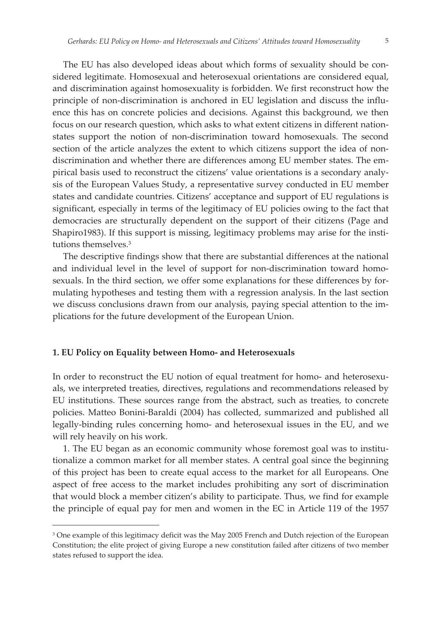sidered legitimate. Homosexual and heterosexual orientations are considered equal, and discrimination against homosexuality is forbidden. We first reconstruct how the principle of non-discrimination is anchored in EU legislation and discuss the influence this has on concrete policies and decisions. Against this background, we then focus on our research question, which asks to what extent citizens in different nationstates support the notion of non-discrimination toward homosexuals. The second section of the article analyzes the extent to which citizens support the idea of nondiscrimination and whether there are differences among EU member states. The empirical basis used to reconstruct the citizens' value orientations is a secondary analysis of the European Values Study, a representative survey conducted in EU member states and candidate countries. Citizens' acceptance and support of EU regulations is significant, especially in terms of the legitimacy of EU policies owing to the fact that democracies are structurally dependent on the support of their citizens (Page and Shapiro1983). If this support is missing, legitimacy problems may arise for the institutions themselves.<sup>3</sup>

The descriptive findings show that there are substantial differences at the national and individual level in the level of support for non-discrimination toward homosexuals. In the third section, we offer some explanations for these differences by formulating hypotheses and testing them with a regression analysis. In the last section we discuss conclusions drawn from our analysis, paying special attention to the implications for the future development of the European Union.

# **1. EU Policy on Equality between HomoȬȱand Heterosexuals**

 $^{\prime}$  ,  $^{\prime}$  ,  $^{\prime}$  ,  $^{\prime}$  ,  $^{\prime}$  ,  $^{\prime}$  ,  $^{\prime}$  ,  $^{\prime}$  ,  $^{\prime}$  ,  $^{\prime}$  ,  $^{\prime}$  ,  $^{\prime}$  ,  $^{\prime}$  ,  $^{\prime}$  ,  $^{\prime}$  ,  $^{\prime}$  ,  $^{\prime}$  ,  $^{\prime}$  ,  $^{\prime}$  ,  $^{\prime}$  ,  $^{\prime}$  ,  $^{\prime}$  ,  $^{\prime}$  ,  $^{\prime}$  ,  $^{\prime}$ 

In order to reconstruct the EU notion of equal treatment for homo- and heterosexuals, we interpreted treaties, directives, regulations and recommendations released by EU institutions. These sources range from the abstract, such as treaties, to concrete policies. Matteo Bonini-Baraldi (2004) has collected, summarized and published all legally-binding rules concerning homo- and heterosexual issues in the EU, and we will rely heavily on his work.

1. The EU began as an economic community whose foremost goal was to institutionalize a common market for all member states. A central goal since the beginning of this project has been to create equal access to the market for all Europeans. One aspect of free access to the market includes prohibiting any sort of discrimination that would block a member citizen's ability to participate. Thus, we find for example the principle of equal pay for men and women in the EC in Article 119 of the 1957

<sup>&</sup>lt;sup>3</sup> One example of this legitimacy deficit was the May 2005 French and Dutch rejection of the European Constitution; the elite project of giving Europe a new constitution failed after citizens of two member states refused to support the idea.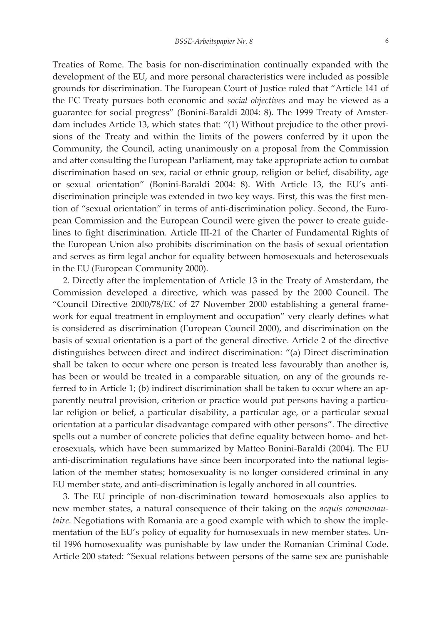Treaties of Rome. The basis for non-discrimination continually expanded with the development of the EU, and more personal characteristics were included as possible grounds for discrimination. The European Court of Justice ruled that "Article 141 of the EC Treaty pursues both economic and *social objectives* and may be viewed as a guarantee for social progress" (Bonini-Baraldi 2004: 8). The 1999 Treaty of Amsterdam includes Article 13, which states that: "(1) Without prejudice to the other provisions of the Treaty and within the limits of the powers conferred by it upon the Community, the Council, acting unanimously on a proposal from the Commission and after consulting the European Parliament, may take appropriate action to combat discrimination based on sex, racial or ethnic group, religion or belief, disability, age or sexual orientation" (Bonini-Baraldi 2004: 8). With Article 13, the EU's antidiscrimination principle was extended in two key ways. First, this was the first mention of "sexual orientation" in terms of anti-discrimination policy. Second, the European Commission and the European Council were given the power to create guidelines to fight discrimination. Article III-21 of the Charter of Fundamental Rights of the European Union also prohibits discrimination on the basis of sexual orientation and serves as firm legal anchor for equality between homosexuals and heterosexuals in the EU (European Community 2000).

2. Directly after the implementation of Article 13 in the Treaty of Amsterdam, the Commission developed a directive, which was passed by the 2000 Council. The "Council Directive 2000/78/EC of 27 November 2000 establishing a general framework for equal treatment in employment and occupation" very clearly defines what is considered as discrimination (European Council 2000), and discrimination on the basis of sexual orientation is a part of the general directive. Article 2 of the directive distinguishes between direct and indirect discrimination: "(a) Direct discrimination shall be taken to occur where one person is treated less favourably than another is, has been or would be treated in a comparable situation, on any of the grounds referred to in Article 1; (b) indirect discrimination shall be taken to occur where an apparently neutral provision, criterion or practice would put persons having a particular religion or belief, a particular disability, a particular age, or a particular sexual orientation at a particular disadvantage compared with other persons". The directive spells out a number of concrete policies that define equality between homo- and heterosexuals, which have been summarized by Matteo Bonini-Baraldi (2004). The EU anti-discrimination regulations have since been incorporated into the national legislation of the member states; homosexuality is no longer considered criminal in any EU member state, and anti-discrimination is legally anchored in all countries.

3. The EU principle of non-discrimination toward homosexuals also applies to new member states, a natural consequence of their taking on the *acquis communautaire*. Negotiations with Romania are a good example with which to show the implementation of the EU's policy of equality for homosexuals in new member states. Until 1996 homosexuality was punishable by law under the Romanian Criminal Code. Article 200 stated: "Sexual relations between persons of the same sex are punishable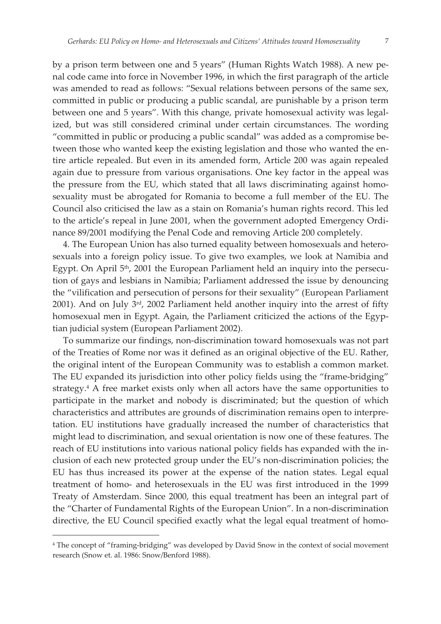by a prison term between one and 5 years" (Human Rights Watch 1988). A new penal code came into force in November 1996, in which the first paragraph of the article was amended to read as follows: "Sexual relations between persons of the same sex, committed in public or producing a public scandal, are punishable by a prison term between one and 5 years". With this change, private homosexual activity was legalized, but was still considered criminal under certain circumstances. The wording "committed in public or producing a public scandal" was added as a compromise between those who wanted keep the existing legislation and those who wanted the entire article repealed. But even in its amended form, Article 200 was again repealed again due to pressure from various organisations. One key factor in the appeal was the pressure from the EU, which stated that all laws discriminating against homosexuality must be abrogated for Romania to become a full member of the EU. The Council also criticised the law as a stain on Romania's human rights record. This led to the article's repeal in June 2001, when the government adopted Emergency Ordinance 89/2001 modifying the Penal Code and removing Article 200 completely.

4. The European Union has also turned equality between homosexuals and heterosexuals into a foreign policy issue. To give two examples, we look at Namibia and Egypt. On April 5<sup>th</sup>, 2001 the European Parliament held an inquiry into the persecution of gays and lesbians in Namibia; Parliament addressed the issue by denouncing the "vilification and persecution of persons for their sexuality" (European Parliament 2001). And on July 3rd, 2002 Parliament held another inquiry into the arrest of fifty homosexual men in Egypt. Again, the Parliament criticized the actions of the Egyptian judicial system (European Parliament 2002).

To summarize our findings, non-discrimination toward homosexuals was not part of the Treaties of Rome nor was it defined as an original objective of the EU. Rather, the original intent of the European Community was to establish a common market. The EU expanded its jurisdiction into other policy fields using the "frame-bridging" strategy.4 A free market exists only when all actors have the same opportunities to participate in the market and nobody is discriminated; but the question of which characteristics and attributes are grounds of discrimination remains open to interpretation. EU institutions have gradually increased the number of characteristics that might lead to discrimination, and sexual orientation is now one of these features. The reach of EU institutions into various national policy fields has expanded with the inclusion of each new protected group under the EU's non-discrimination policies; the EU has thus increased its power at the expense of the nation states. Legal equal treatment of homo- and heterosexuals in the EU was first introduced in the 1999 Treaty of Amsterdam. Since 2000, this equal treatment has been an integral part of the "Charter of Fundamental Rights of the European Union". In a non-discrimination directive, the EU Council specified exactly what the legal equal treatment of homo-

 $^{\prime}$  ,  $^{\prime}$  ,  $^{\prime}$  ,  $^{\prime}$  ,  $^{\prime}$  ,  $^{\prime}$  ,  $^{\prime}$  ,  $^{\prime}$  ,  $^{\prime}$  ,  $^{\prime}$  ,  $^{\prime}$  ,  $^{\prime}$  ,  $^{\prime}$  ,  $^{\prime}$  ,  $^{\prime}$  ,  $^{\prime}$  ,  $^{\prime}$  ,  $^{\prime}$  ,  $^{\prime}$  ,  $^{\prime}$  ,  $^{\prime}$  ,  $^{\prime}$  ,  $^{\prime}$  ,  $^{\prime}$  ,  $^{\prime}$ 

<sup>&</sup>lt;sup>4</sup> The concept of "framing-bridging" was developed by David Snow in the context of social movement research (Snow et. al. 1986: Snow/Benford 1988).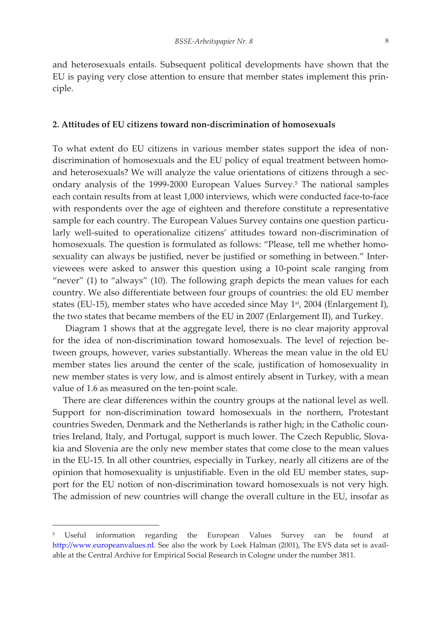and heterosexuals entails. Subsequent political developments have shown that the EU is paying very close attention to ensure that member states implement this principle.

# **2. Attitudes of EU citizens toward nonȬdiscrimination of homosexualsȱȱ**

To what extent do EU citizens in various member states support the idea of nondiscrimination of homosexuals and the EU policy of equal treatment between homoand heterosexuals? We will analyze the value orientations of citizens through a secondary analysis of the 1999-2000 European Values Survey.<sup>5</sup> The national samples each contain results from at least 1,000 interviews, which were conducted face-to-face with respondents over the age of eighteen and therefore constitute a representative sample for each country. The European Values Survey contains one question particularly well-suited to operationalize citizens' attitudes toward non-discrimination of homosexuals. The question is formulated as follows: "Please, tell me whether homosexuality can always be justified, never be justified or something in between." Interviewees were asked to answer this question using a 10-point scale ranging from "never" (1) to "always" (10). The following graph depicts the mean values for each country. We also differentiate between four groups of countries: the old EU member states (EU-15), member states who have acceded since May  $1<sup>st</sup>$ , 2004 (Enlargement I), the two states that became members of the EU in 2007 (Enlargement II), and Turkey.

Diagram 1 shows that at the aggregate level, there is no clear majority approval for the idea of non-discrimination toward homosexuals. The level of rejection between groups, however, varies substantially. Whereas the mean value in the old EU member states lies around the center of the scale, justification of homosexuality in new member states is very low, and is almost entirely absent in Turkey, with a mean value of 1.6 as measured on the ten-point scale.

There are clear differences within the country groups at the national level as well. Support for non-discrimination toward homosexuals in the northern, Protestant countries Sweden, Denmark and the Netherlands is rather high; in the Catholic countries Ireland, Italy, and Portugal, support is much lower. The Czech Republic, Slovakia and Slovenia are the only new member states that come close to the mean values in the EU-15. In all other countries, especially in Turkey, nearly all citizens are of the opinion that homosexuality is unjustifiable. Even in the old EU member states, support for the EU notion of non-discrimination toward homosexuals is not very high. The admission of new countries will change the overall culture in the EU, insofar as

 $^{\prime}$  ,  $^{\prime}$  ,  $^{\prime}$  ,  $^{\prime}$  ,  $^{\prime}$  ,  $^{\prime}$  ,  $^{\prime}$  ,  $^{\prime}$  ,  $^{\prime}$  ,  $^{\prime}$  ,  $^{\prime}$  ,  $^{\prime}$  ,  $^{\prime}$  ,  $^{\prime}$  ,  $^{\prime}$  ,  $^{\prime}$  ,  $^{\prime}$  ,  $^{\prime}$  ,  $^{\prime}$  ,  $^{\prime}$  ,  $^{\prime}$  ,  $^{\prime}$  ,  $^{\prime}$  ,  $^{\prime}$  ,  $^{\prime}$ 

<sup>5</sup> Useful information regarding the European Values Survey can be found at http://www.europeanvalues.nl. See also the work by Loek Halman (2001), The EVS data set is available at the Central Archive for Empirical Social Research in Cologne under the number 3811.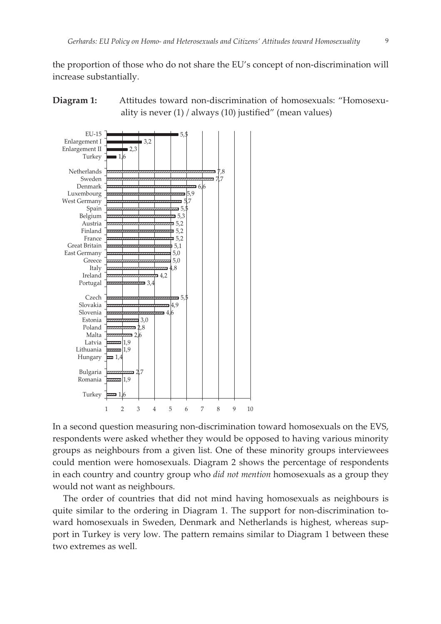the proportion of those who do not share the EU's concept of non-discrimination will increase substantially.





In a second question measuring non-discrimination toward homosexuals on the EVS, respondents were asked whether they would be opposed to having various minority groups as neighbours from a given list. One of these minority groups interviewees could mention were homosexuals. Diagram 2 shows the percentage of respondents in each country and country group who *did not mention* homosexuals as a group they would not want as neighbours.

The order of countries that did not mind having homosexuals as neighbours is quite similar to the ordering in Diagram 1. The support for non-discrimination toward homosexuals in Sweden, Denmark and Netherlands is highest, whereas support in Turkey is very low. The pattern remains similar to Diagram 1 between these two extremes as well.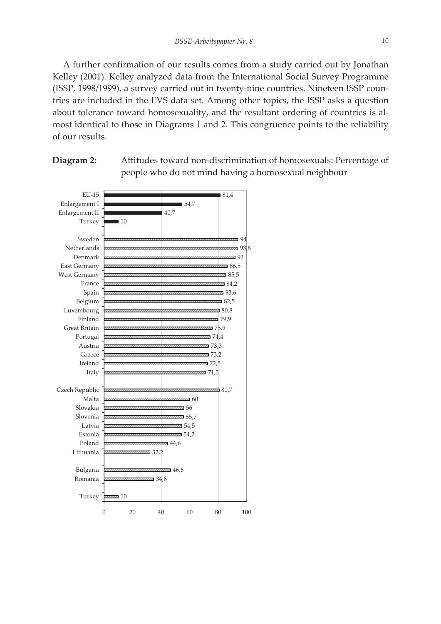A further confirmation of our results comes from a study carried out by Jonathan Kelley (2001). Kelley analyzed data from the International Social Survey Programme (ISSP, 1998/1999), a survey carried out in twenty-nine countries. Nineteen ISSP countries are included in the EVS data set. Among other topics, the ISSP asks a question about tolerance toward homosexuality, and the resultant ordering of countries is almost identical to those in Diagrams 1 and 2. This congruence points to the reliability of our results.

 $\overline{2}$  10  $\blacksquare$  34.8  $\bar{a}$  46,6 7 22 P  $\approx 44.6$ 54,2  $\overline{5}$ 55,7 56 60 80,7 71,3 72,5 73,2 73,3  $\overline{4}$  $5,9$ 79,9 180.8 **82,5** a 83,6  $384.2$  $285.5$  $36.5$ 92 93,8 94  $10$ 40,7 54,7 ■ 81,4 Turkey Romania Bulgaria Lithuania Poland Estonia Latvia Slovenia Slovakia Malta Czech Republic Italy Ireland Greece Austria Portugal Great Britain Finland Luxembourg Belgium Spain France West Germany East Germany Denmark Netherlands Sweden Turkey Enlargement II Enlargement I EU-15

0 20 40 60 80 100



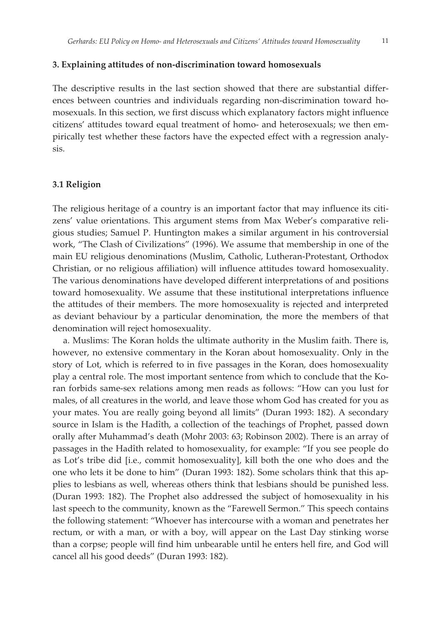#### **3. Explaining attitudes of nonȬdiscrimination toward homosexuals**

The descriptive results in the last section showed that there are substantial differences between countries and individuals regarding non-discrimination toward homosexuals. In this section, we first discuss which explanatory factors might influence citizens' attitudes toward equal treatment of homo- and heterosexuals; we then empirically test whether these factors have the expected effect with a regression analysis.

#### 3.1 Religion

The religious heritage of a country is an important factor that may influence its citizens' value orientations. This argument stems from Max Weber's comparative religious studies; Samuel P. Huntington makes a similar argument in his controversial work, "The Clash of Civilizations" (1996). We assume that membership in one of the main EU religious denominations (Muslim, Catholic, Lutheran-Protestant, Orthodox Christian, or no religious affiliation) will influence attitudes toward homosexuality. The various denominations have developed different interpretations of and positions toward homosexuality. We assume that these institutional interpretations influence the attitudes of their members. The more homosexuality is rejected and interpreted as deviant behaviour by a particular denomination, the more the members of that denomination will reject homosexuality.

a. Muslims: The Koran holds the ultimate authority in the Muslim faith. There is, however, no extensive commentary in the Koran about homosexuality. Only in the story of Lot, which is referred to in five passages in the Koran, does homosexuality play a central role. The most important sentence from which to conclude that the Koran forbids same-sex relations among men reads as follows: "How can you lust for males, of all creatures in the world, and leave those whom God has created for you as your mates. You are really going beyond all limits" (Duran 1993: 182). A secondary source in Islam is the Hadîth, a collection of the teachings of Prophet, passed down orally after Muhammad's death (Mohr 2003: 63; Robinson 2002). There is an array of passages in the Hadîth related to homosexuality, for example: "If you see people do as Lot's tribe did [i.e., commit homosexuality], kill both the one who does and the one who lets it be done to him" (Duran 1993: 182). Some scholars think that this applies to lesbians as well, whereas others think that lesbians should be punished less. (Duran 1993: 182). The Prophet also addressed the subject of homosexuality in his last speech to the community, known as the "Farewell Sermon." This speech contains the following statement: "Whoever has intercourse with a woman and penetrates her rectum, or with a man, or with a boy, will appear on the Last Day stinking worse than a corpse; people will find him unbearable until he enters hell fire, and God will cancel all his good deeds" (Duran 1993: 182).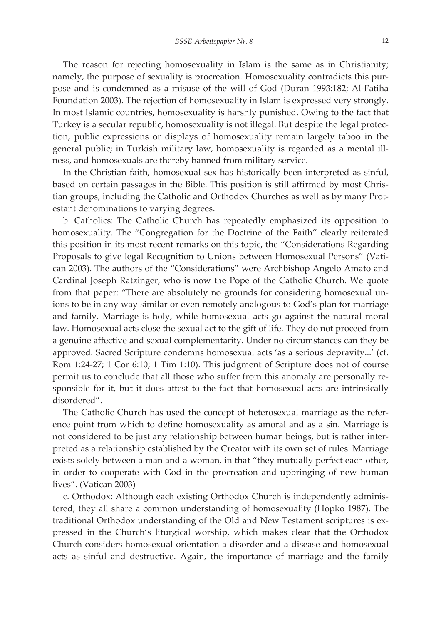The reason for rejecting homosexuality in Islam is the same as in Christianity; namely, the purpose of sexuality is procreation. Homosexuality contradicts this purpose and is condemned as a misuse of the will of God (Duran 1993:182; Al-Fatiha Foundation 2003). The rejection of homosexuality in Islam is expressed very strongly. In most Islamic countries, homosexuality is harshly punished. Owing to the fact that Turkey is a secular republic, homosexuality is not illegal. But despite the legal protection, public expressions or displays of homosexuality remain largely taboo in the general public; in Turkish military law, homosexuality is regarded as a mental illness, and homosexuals are thereby banned from military service.

In the Christian faith, homosexual sex has historically been interpreted as sinful, based on certain passages in the Bible. This position is still affirmed by most Christian groups, including the Catholic and Orthodox Churches as well as by many Protestant denominations to varying degrees.

b. Catholics: The Catholic Church has repeatedly emphasized its opposition to homosexuality. The "Congregation for the Doctrine of the Faith" clearly reiterated this position in its most recent remarks on this topic, the "Considerations Regarding Proposals to give legal Recognition to Unions between Homosexual Persons" (Vatican 2003). The authors of the "Considerations" were Archbishop Angelo Amato and Cardinal Joseph Ratzinger, who is now the Pope of the Catholic Church. We quote from that paper: "There are absolutely no grounds for considering homosexual unions to be in any way similar or even remotely analogous to God's plan for marriage and family. Marriage is holy, while homosexual acts go against the natural moral law. Homosexual acts close the sexual act to the gift of life. They do not proceed from a genuine affective and sexual complementarity. Under no circumstances can they be approved. Sacred Scripture condemns homosexual acts 'as a serious depravity...' (cf. Rom 1:24-27; 1 Cor 6:10; 1 Tim 1:10). This judgment of Scripture does not of course permit us to conclude that all those who suffer from this anomaly are personally responsible for it, but it does attest to the fact that homosexual acts are intrinsically disordered".

The Catholic Church has used the concept of heterosexual marriage as the reference point from which to define homosexuality as amoral and as a sin. Marriage is not considered to be just any relationship between human beings, but is rather interpreted as a relationship established by the Creator with its own set of rules. Marriage exists solely between a man and a woman, in that "they mutually perfect each other, in order to cooperate with God in the procreation and upbringing of new human lives". (Vatican 2003)

c. Orthodox: Although each existing Orthodox Church is independently administered, they all share a common understanding of homosexuality (Hopko 1987). The traditional Orthodox understanding of the Old and New Testament scriptures is expressed in the Church's liturgical worship, which makes clear that the Orthodox Church considers homosexual orientation a disorder and a disease and homosexual acts as sinful and destructive. Again, the importance of marriage and the family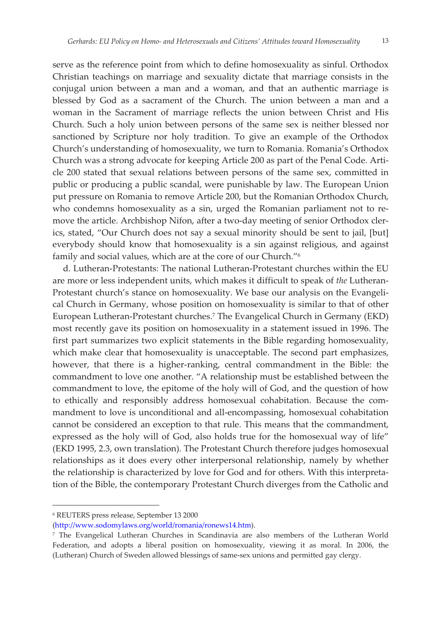serve as the reference point from which to define homosexuality as sinful. Orthodox Christian teachings on marriage and sexuality dictate that marriage consists in the conjugal union between a man and a woman, and that an authentic marriage is blessed by God as a sacrament of the Church. The union between a man and a woman in the Sacrament of marriage reflects the union between Christ and His Church. Such a holy union between persons of the same sex is neither blessed nor sanctioned by Scripture nor holy tradition. To give an example of the Orthodox Church's understanding of homosexuality, we turn to Romania. Romania's Orthodox Church was a strong advocate for keeping Article 200 as part of the Penal Code. Article 200 stated that sexual relations between persons of the same sex, committed in public or producing a public scandal, were punishable by law. The European Union put pressure on Romania to remove Article 200, but the Romanian Orthodox Church, who condemns homosexuality as a sin, urged the Romanian parliament not to remove the article. Archbishop Nifon, after a two-day meeting of senior Orthodox clerics, stated, "Our Church does not say a sexual minority should be sent to jail, [but] everybody should know that homosexuality is a sin against religious, and against family and social values, which are at the core of our Church."6

d. Lutheran-Protestants: The national Lutheran-Protestant churches within the EU are more or less independent units, which makes it difficult to speak of *the* Lutheran-Protestant church's stance on homosexuality. We base our analysis on the Evangelical Church in Germany, whose position on homosexuality is similar to that of other European Lutheran-Protestant churches.<sup>7</sup> The Evangelical Church in Germany (EKD) most recently gave its position on homosexuality in a statement issued in 1996. The first part summarizes two explicit statements in the Bible regarding homosexuality, which make clear that homosexuality is unacceptable. The second part emphasizes, however, that there is a higher-ranking, central commandment in the Bible: the commandment to love one another. "A relationship must be established between the commandment to love, the epitome of the holy will of God, and the question of how to ethically and responsibly address homosexual cohabitation. Because the commandment to love is unconditional and all-encompassing, homosexual cohabitation cannot be considered an exception to that rule. This means that the commandment, expressed as the holy will of God, also holds true for the homosexual way of life" (EKD 1995, 2.3, own translation). The Protestant Church therefore judges homosexual relationships as it does every other interpersonal relationship, namely by whether the relationship is characterized by love for God and for others. With this interpretation of the Bible, the contemporary Protestant Church diverges from the Catholic and

 $^{\prime}$  ,  $^{\prime}$  ,  $^{\prime}$  ,  $^{\prime}$  ,  $^{\prime}$  ,  $^{\prime}$  ,  $^{\prime}$  ,  $^{\prime}$  ,  $^{\prime}$  ,  $^{\prime}$  ,  $^{\prime}$  ,  $^{\prime}$  ,  $^{\prime}$  ,  $^{\prime}$  ,  $^{\prime}$  ,  $^{\prime}$  ,  $^{\prime}$  ,  $^{\prime}$  ,  $^{\prime}$  ,  $^{\prime}$  ,  $^{\prime}$  ,  $^{\prime}$  ,  $^{\prime}$  ,  $^{\prime}$  ,  $^{\prime}$ 

<sup>&</sup>lt;sup>6</sup> REUTERS press release, September 13 2000

<sup>(</sup>http://www.sodomylaws.org/world/romania/ronews14.htm).

<sup>7</sup> The Evangelical Lutheran Churches in Scandinavia are also members of the Lutheran World Federation, and adopts a liberal position on homosexuality, viewing it as moral. In 2006, the (Lutheran) Church of Sweden allowed blessings of same-sex unions and permitted gay clergy.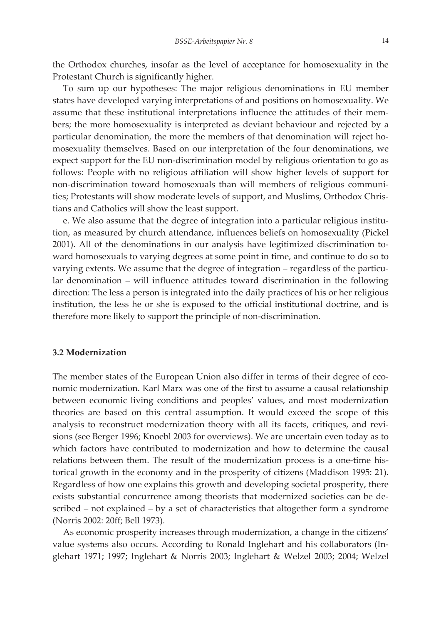the Orthodox churches, insofar as the level of acceptance for homosexuality in the Protestant Church is significantly higher.

To sum up our hypotheses: The major religious denominations in EU member states have developed varying interpretations of and positions on homosexuality. We assume that these institutional interpretations influence the attitudes of their members; the more homosexuality is interpreted as deviant behaviour and rejected by a particular denomination, the more the members of that denomination will reject homosexuality themselves. Based on our interpretation of the four denominations, we expect support for the EU non-discrimination model by religious orientation to go as follows: People with no religious affiliation will show higher levels of support for non-discrimination toward homosexuals than will members of religious communities; Protestants will show moderate levels of support, and Muslims, Orthodox Christians and Catholics will show the least support.

e. We also assume that the degree of integration into a particular religious institution, as measured by church attendance, influences beliefs on homosexuality (Pickel 2001). All of the denominations in our analysis have legitimized discrimination toward homosexuals to varying degrees at some point in time, and continue to do so to varying extents. We assume that the degree of integration – regardless of the particular denomination – will influence attitudes toward discrimination in the following direction: The less a person is integrated into the daily practices of his or her religious institution, the less he or she is exposed to the official institutional doctrine, and is therefore more likely to support the principle of non-discrimination.

#### **3.2 Modernization**

The member states of the European Union also differ in terms of their degree of economic modernization. Karl Marx was one of the first to assume a causal relationship between economic living conditions and peoples' values, and most modernization theories are based on this central assumption. It would exceed the scope of this analysis to reconstruct modernization theory with all its facets, critiques, and revisions (see Berger 1996; Knoebl 2003 for overviews). We are uncertain even today as to which factors have contributed to modernization and how to determine the causal relations between them. The result of the modernization process is a one-time historical growth in the economy and in the prosperity of citizens (Maddison 1995: 21). Regardless of how one explains this growth and developing societal prosperity, there exists substantial concurrence among theorists that modernized societies can be described – not explained – by a set of characteristics that altogether form a syndrome (Norris 2002: 20ff; Bell 1973).

As economic prosperity increases through modernization, a change in the citizens' value systems also occurs. According to Ronald Inglehart and his collaborators (Inglehart 1971; 1997; Inglehart & Norris 2003; Inglehart & Welzel 2003; 2004; Welzel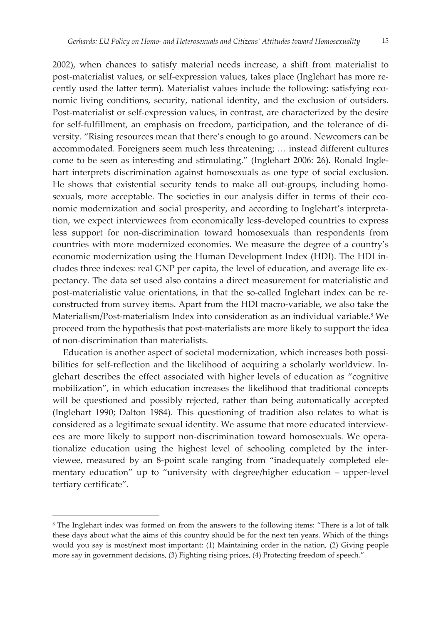2002), when chances to satisfy material needs increase, a shift from materialist to post-materialist values, or self-expression values, takes place (Inglehart has more recently used the latter term). Materialist values include the following: satisfying economic living conditions, security, national identity, and the exclusion of outsiders. Post-materialist or self-expression values, in contrast, are characterized by the desire for self-fulfillment, an emphasis on freedom, participation, and the tolerance of diversity. "Rising resources mean that there's enough to go around. Newcomers can be accommodated. Foreigners seem much less threatening; … instead different cultures come to be seen as interesting and stimulating." (Inglehart 2006: 26). Ronald Inglehart interprets discrimination against homosexuals as one type of social exclusion. He shows that existential security tends to make all out-groups, including homosexuals, more acceptable. The societies in our analysis differ in terms of their economic modernization and social prosperity, and according to Inglehart's interpretation, we expect interviewees from economically less-developed countries to express less support for non-discrimination toward homosexuals than respondents from countries with more modernized economies. We measure the degree of a country's economic modernization using the Human Development Index (HDI). The HDI includes three indexes: real GNP per capita, the level of education, and average life expectancy. The data set used also contains a direct measurement for materialistic and post-materialistic value orientations, in that the so-called Inglehart index can be reconstructed from survey items. Apart from the HDI macro-variable, we also take the Materialism/Post-materialism Index into consideration as an individual variable.<sup>8</sup> We proceed from the hypothesis that post-materialists are more likely to support the idea of non-discrimination than materialists.

Education is another aspect of societal modernization, which increases both possibilities for self-reflection and the likelihood of acquiring a scholarly worldview. Inglehart describes the effect associated with higher levels of education as "cognitive mobilization", in which education increases the likelihood that traditional concepts will be questioned and possibly rejected, rather than being automatically accepted (Inglehart 1990; Dalton 1984). This questioning of tradition also relates to what is considered as a legitimate sexual identity. We assume that more educated interviewees are more likely to support non-discrimination toward homosexuals. We operationalize education using the highest level of schooling completed by the interviewee, measured by an 8-point scale ranging from "inadequately completed elementary education" up to "university with degree/higher education - upper-level tertiary certificate".

 $^{\prime}$  ,  $^{\prime}$  ,  $^{\prime}$  ,  $^{\prime}$  ,  $^{\prime}$  ,  $^{\prime}$  ,  $^{\prime}$  ,  $^{\prime}$  ,  $^{\prime}$  ,  $^{\prime}$  ,  $^{\prime}$  ,  $^{\prime}$  ,  $^{\prime}$  ,  $^{\prime}$  ,  $^{\prime}$  ,  $^{\prime}$  ,  $^{\prime}$  ,  $^{\prime}$  ,  $^{\prime}$  ,  $^{\prime}$  ,  $^{\prime}$  ,  $^{\prime}$  ,  $^{\prime}$  ,  $^{\prime}$  ,  $^{\prime}$ 

<sup>&</sup>lt;sup>8</sup> The Inglehart index was formed on from the answers to the following items: "There is a lot of talk these days about what the aims of this country should be for the next ten years. Which of the things would you say is most/next most important: (1) Maintaining order in the nation, (2) Giving people more say in government decisions, (3) Fighting rising prices, (4) Protecting freedom of speech."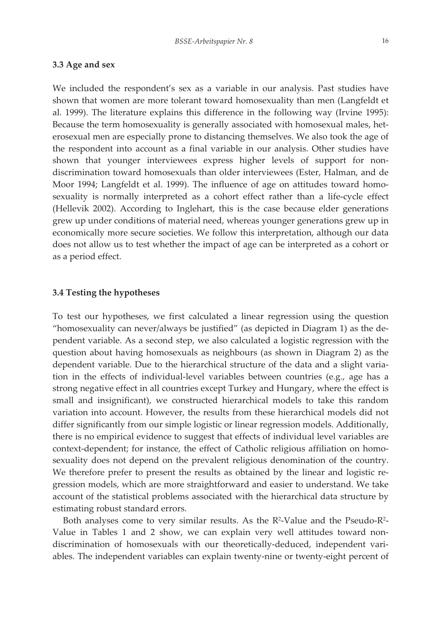# **3.3 Age and sex**

We included the respondent's sex as a variable in our analysis. Past studies have shown that women are more tolerant toward homosexuality than men (Langfeldt et al. 1999). The literature explains this difference in the following way (Irvine 1995): Because the term homosexuality is generally associated with homosexual males, heterosexual men are especially prone to distancing themselves. We also took the age of the respondent into account as a final variable in our analysis. Other studies have shown that younger interviewees express higher levels of support for nondiscrimination toward homosexuals than older interviewees (Ester, Halman, and de Moor 1994; Langfeldt et al. 1999). The influence of age on attitudes toward homosexuality is normally interpreted as a cohort effect rather than a life-cycle effect (Hellevik 2002). According to Inglehart, this is the case because elder generations grew up under conditions of material need, whereas younger generations grew up in economically more secure societies. We follow this interpretation, although our data does not allow us to test whether the impact of age can be interpreted as a cohort or as a period effect.

#### **3.4 Testing the hypotheses**

To test our hypotheses, we first calculated a linear regression using the question "homosexuality can never/always be justified" (as depicted in Diagram 1) as the dependent variable. As a second step, we also calculated a logistic regression with the question about having homosexuals as neighbours (as shown in Diagram 2) as the dependent variable. Due to the hierarchical structure of the data and a slight variation in the effects of individual-level variables between countries (e.g., age has a strong negative effect in all countries except Turkey and Hungary, where the effect is small and insignificant), we constructed hierarchical models to take this random variation into account. However, the results from these hierarchical models did not differ significantly from our simple logistic or linear regression models. Additionally, there is no empirical evidence to suggest that effects of individual level variables are context-dependent; for instance, the effect of Catholic religious affiliation on homosexuality does not depend on the prevalent religious denomination of the country. We therefore prefer to present the results as obtained by the linear and logistic regression models, which are more straightforward and easier to understand. We take account of the statistical problems associated with the hierarchical data structure by estimating robust standard errors.

Both analyses come to very similar results. As the R<sup>2</sup>-Value and the Pseudo-R<sup>2</sup>-Value in Tables 1 and 2 show, we can explain very well attitudes toward nondiscrimination of homosexuals with our theoretically-deduced, independent variables. The independent variables can explain twenty-nine or twenty-eight percent of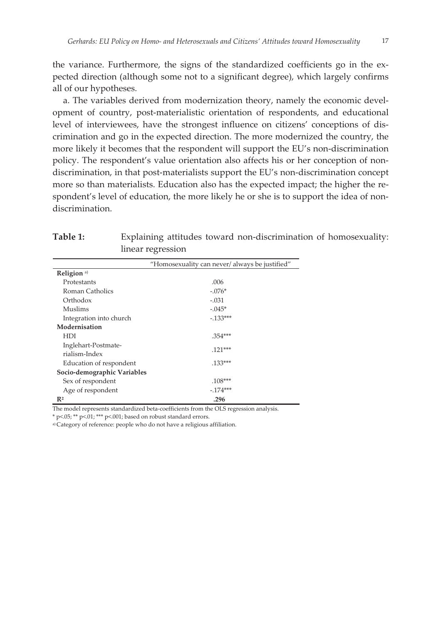the variance. Furthermore, the signs of the standardized coefficients go in the expected direction (although some not to a significant degree), which largely confirms all of our hypotheses.

a. The variables derived from modernization theory, namely the economic development of country, post-materialistic orientation of respondents, and educational level of interviewees, have the strongest influence on citizens' conceptions of discrimination and go in the expected direction. The more modernized the country, the more likely it becomes that the respondent will support the EU's non-discrimination policy. The respondent's value orientation also affects his or her conception of nondiscrimination, in that post-materialists support the EU's non-discrimination concept more so than materialists. Education also has the expected impact; the higher the respondent's level of education, the more likely he or she is to support the idea of nondiscrimination.

|                                      | "Homosexuality can never/ always be justified" |
|--------------------------------------|------------------------------------------------|
| Religion <sup>a)</sup>               |                                                |
| Protestants                          | .006                                           |
| Roman Catholics                      | $-.076*$                                       |
| Orthodox                             | $-.031$                                        |
| <b>Muslims</b>                       | $-.045*$                                       |
| Integration into church              | $-0.133***$                                    |
| Modernisation                        |                                                |
| <b>HDI</b>                           | .354***                                        |
| Inglehart-Postmate-<br>rialism-Index | $.121***$                                      |
| Education of respondent              | $.133***$                                      |
| Socio-demographic Variables          |                                                |
| Sex of respondent                    | $.108***$                                      |
| Age of respondent                    | $-174***$                                      |
| R <sup>2</sup>                       | .296                                           |

**Table 1:** Explaining attitudes toward non-discrimination of homosexuality: linear regression

The model represents standardized beta-coefficients from the OLS regression analysis.

\* p<.05; \*\* p<.01; \*\*\* p<.001; based on robust standard errors.

a) Category of reference: people who do not have a religious affiliation.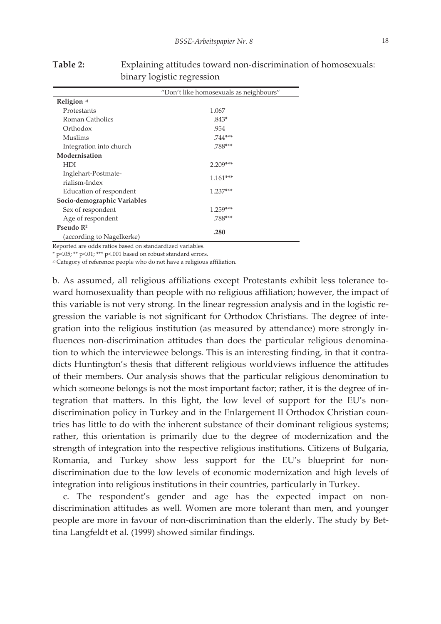|                             | "Don't like homosexuals as neighbours" |  |
|-----------------------------|----------------------------------------|--|
| Religion <sup>a)</sup>      |                                        |  |
| Protestants                 | 1.067                                  |  |
| Roman Catholics             | $.843*$                                |  |
| Orthodox                    | .954                                   |  |
| Muslims                     | $.744***$                              |  |
| Integration into church     | .788***                                |  |
| Modernisation               |                                        |  |
| <b>HDI</b>                  | 2.209***                               |  |
| Inglehart-Postmate-         |                                        |  |
| rialism-Index               | $1.161***$                             |  |
| Education of respondent     | $1.237***$                             |  |
| Socio-demographic Variables |                                        |  |
| Sex of respondent           | $1.259***$                             |  |
| Age of respondent           | .788***                                |  |
| Pseudo $\mathbb{R}^2$       |                                        |  |
| (according to Nagelkerke)   | .280                                   |  |

**Table 2:** Explaining attitudes toward non-discrimination of homosexuals: binary logistic regression

Reported are odds ratios based on standardized variables.

\* p<.05; \*\* p<.01; \*\*\* p<.001 based on robust standard errors.

a) Category of reference: people who do not have a religious affiliation.

b. As assumed, all religious affiliations except Protestants exhibit less tolerance toward homosexuality than people with no religious affiliation; however, the impact of this variable is not very strong. In the linear regression analysis and in the logistic regression the variable is not significant for Orthodox Christians. The degree of integration into the religious institution (as measured by attendance) more strongly influences non-discrimination attitudes than does the particular religious denomination to which the interviewee belongs. This is an interesting finding, in that it contradicts Huntington's thesis that different religious worldviews influence the attitudes of their members. Our analysis shows that the particular religious denomination to which someone belongs is not the most important factor; rather, it is the degree of integration that matters. In this light, the low level of support for the EU's nondiscrimination policy in Turkey and in the Enlargement II Orthodox Christian countries has little to do with the inherent substance of their dominant religious systems; rather, this orientation is primarily due to the degree of modernization and the strength of integration into the respective religious institutions. Citizens of Bulgaria, Romania, and Turkey show less support for the EU's blueprint for nondiscrimination due to the low levels of economic modernization and high levels of integration into religious institutions in their countries, particularly in Turkey.

c. The respondent's gender and age has the expected impact on nondiscrimination attitudes as well. Women are more tolerant than men, and younger people are more in favour of non-discrimination than the elderly. The study by Bettina Langfeldt et al. (1999) showed similar findings.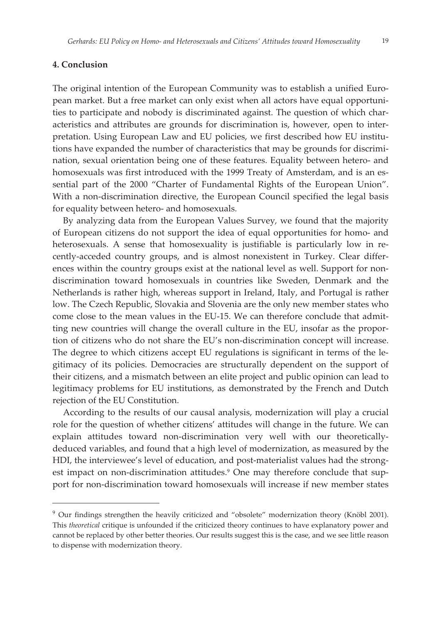# **4. Conclusionȱȱ**

 $^{\prime}$  ,  $^{\prime}$  ,  $^{\prime}$  ,  $^{\prime}$  ,  $^{\prime}$  ,  $^{\prime}$  ,  $^{\prime}$  ,  $^{\prime}$  ,  $^{\prime}$  ,  $^{\prime}$  ,  $^{\prime}$  ,  $^{\prime}$  ,  $^{\prime}$  ,  $^{\prime}$  ,  $^{\prime}$  ,  $^{\prime}$  ,  $^{\prime}$  ,  $^{\prime}$  ,  $^{\prime}$  ,  $^{\prime}$  ,  $^{\prime}$  ,  $^{\prime}$  ,  $^{\prime}$  ,  $^{\prime}$  ,  $^{\prime}$ 

The original intention of the European Community was to establish a unified European market. But a free market can only exist when all actors have equal opportunities to participate and nobody is discriminated against. The question of which characteristics and attributes are grounds for discrimination is, however, open to interpretation. Using European Law and EU policies, we first described how EU institutions have expanded the number of characteristics that may be grounds for discrimination, sexual orientation being one of these features. Equality between hetero- and homosexuals was first introduced with the 1999 Treaty of Amsterdam, and is an essential part of the 2000 "Charter of Fundamental Rights of the European Union". With a non-discrimination directive, the European Council specified the legal basis for equality between hetero- and homosexuals.

By analyzing data from the European Values Survey*,* we found that the majority of European citizens do not support the idea of equal opportunities for homo- and heterosexuals. A sense that homosexuality is justifiable is particularly low in recently-acceded country groups, and is almost nonexistent in Turkey. Clear differences within the country groups exist at the national level as well. Support for nondiscrimination toward homosexuals in countries like Sweden, Denmark and the Netherlands is rather high, whereas support in Ireland, Italy, and Portugal is rather low. The Czech Republic, Slovakia and Slovenia are the only new member states who come close to the mean values in the EU-15. We can therefore conclude that admitting new countries will change the overall culture in the EU, insofar as the proportion of citizens who do not share the EU's non-discrimination concept will increase. The degree to which citizens accept EU regulations is significant in terms of the legitimacy of its policies. Democracies are structurally dependent on the support of their citizens, and a mismatch between an elite project and public opinion can lead to legitimacy problems for EU institutions, as demonstrated by the French and Dutch rejection of the EU Constitution.

According to the results of our causal analysis, modernization will play a crucial role for the question of whether citizens' attitudes will change in the future. We can explain attitudes toward non-discrimination very well with our theoreticallydeduced variables, and found that a high level of modernization, as measured by the HDI, the interviewee's level of education, and post-materialist values had the strongest impact on non-discrimination attitudes.<sup>9</sup> One may therefore conclude that support for non-discrimination toward homosexuals will increase if new member states

<sup>&</sup>lt;sup>9</sup> Our findings strengthen the heavily criticized and "obsolete" modernization theory (Knöbl 2001). This *theoretical* critique is unfounded if the criticized theory continues to have explanatory power and cannot be replaced by other better theories. Our results suggest this is the case, and we see little reason to dispense with modernization theory.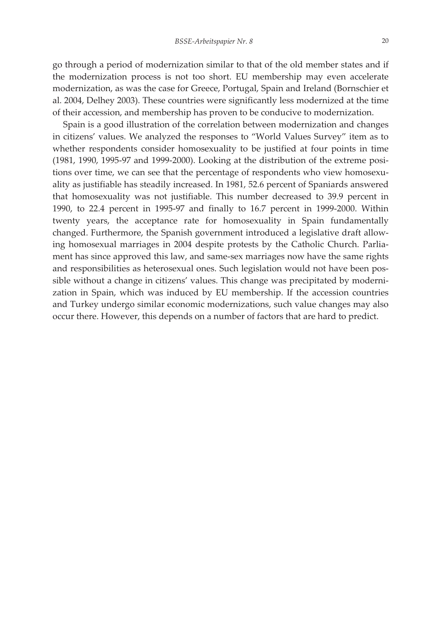go through a period of modernization similar to that of the old member states and if the modernization process is not too short. EU membership may even accelerate modernization, as was the case for Greece, Portugal, Spain and Ireland (Bornschier et al. 2004, Delhey 2003). These countries were significantly less modernized at the time of their accession, and membership has proven to be conducive to modernization.

Spain is a good illustration of the correlation between modernization and changes in citizens' values. We analyzed the responses to "World Values Survey" item as to whether respondents consider homosexuality to be justified at four points in time  $(1981, 1990, 1995-97,$  and  $1999-2000$ ). Looking at the distribution of the extreme positions over time, we can see that the percentage of respondents who view homosexuality as justifiable has steadily increased. In 1981, 52.6 percent of Spaniards answered that homosexuality was not justifiable. This number decreased to 39.9 percent in 1990, to 22.4 percent in 1995-97 and finally to 16.7 percent in 1999-2000. Within twenty years, the acceptance rate for homosexuality in Spain fundamentally changed. Furthermore, the Spanish government introduced a legislative draft allowing homosexual marriages in 2004 despite protests by the Catholic Church. Parliament has since approved this law, and same-sex marriages now have the same rights and responsibilities as heterosexual ones. Such legislation would not have been possible without a change in citizens' values. This change was precipitated by modernization in Spain, which was induced by EU membership. If the accession countries and Turkey undergo similar economic modernizations, such value changes may also occur there. However, this depends on a number of factors that are hard to predict.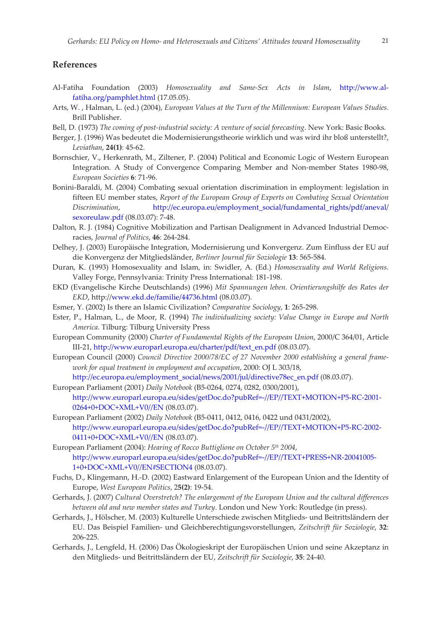# **References**

- Al-Fatiha Foundation (2003) *Homosexuality and Same-Sex Acts in Islam*, http://www.alfatiha.org/pamphlet.html (17.05.05).
- Arts, W. , Halman, L. (ed.) (2004), *European Values at the Turn of the Millennium: European Values Studies*. Brill Publisher.
- Bell, D. (1973) *The coming of post-industrial society: A venture of social forecasting. New York: Basic Books.*
- Berger, J. (1996) Was bedeutet die Modernisierungstheorie wirklich und was wird ihr bloß unterstellt?, *Leviathan*, **24(1)**: 45Ȭ62.
- Bornschier, V., Herkenrath, M., Ziltener, P. (2004) Political and Economic Logic of Western European Integration. A Study of Convergence Comparing Member and Non-member States 1980-98, *European Societies* **6**: 71Ȭ96.
- Bonini-Baraldi, M. (2004) Combating sexual orientation discrimination in employment: legislation in fifteen EU member states, *Report of the European Group of Experts on Combating Sexual Orientation Discrimination*, http://ec.europa.eu/employment\_social/fundamental\_rights/pdf/aneval/ sexoreulaw.pdf (08.03.07): 7-48.
- Dalton, R. J. (1984) Cognitive Mobilization and Partisan Dealignment in Advanced Industrial Democracies, *Journal of Politics*, **46**: 264Ȭ284.
- Delhey, J. (2003) Europäische Integration, Modernisierung und Konvergenz. Zum Einfluss der EU auf die Konvergenz der Mitgliedsländer, *Berliner Journal für Soziologie* **13**: 565Ȭ584.
- Duran, K. (1993) Homosexuality and Islam, in: Swidler, A. (Ed.) *Homosexuality and World Religions*. Valley Forge, Pennsylvania: Trinity Press International: 181-198.
- EKD (Evangelische Kirche Deutschlands) (1996) *Mit Spannungen leben. Orientierungshilfe des Rates der EKD*, http://www.ekd.de/familie/44736.html (08.03.07).
- Esmer, Y. (2002) Is there an Islamic Civilization? *Comparative Sociology*, 1: 265-298.
- Ester, P., Halman, L., de Moor, R. (1994) *The individualizing society: Value Change in Europe and North America*. Tilburg: Tilburg University Press
- European Community (2000) *Charter of Fundamental Rights of the European Union*, 2000/C 364/01, Article III-21, http://www.europarl.europa.eu/charter/pdf/text\_en.pdf (08.03.07).
- European Council (2000) *Council Directive 2000/78/EC of 27 November 2000 establishing a general frameȬ work for equal treatment in employment and occupation, 2000: OJ L 303/18,* http://ec.europa.eu/employment\_social/news/2001/jul/directive78ec\_en.pdf (08.03.07).
- European Parliament (2001) *Daily Notebook* (B5-0264, 0274, 0282, 0300/2001), http://www.europarl.europa.eu/sides/getDoc.do?pubRef=-//EP//TEXT+MOTION+P5-RC-2001-0264+0+DOC+XML+V0//EN (08.03.07).
- European Parliament (2002) *Daily Notebook* (B5-0411, 0412, 0416, 0422 und 0431/2002), http://www.europarl.europa.eu/sides/getDoc.do?pubRef=-//EP//TEXT+MOTION+P5-RC-2002-0411+0+DOC+XML+V0//EN (08.03.07).
- European Parliament (2004): *Hearing of Rocco Buttiglione on October 5<sup>th</sup> 2004*, http://www.europarl.europa.eu/sides/getDoc.do?pubRef=-//EP//TEXT+PRESS+NR-20041005-1+0+DOC+XML+V0//EN#SECTION4 (08.03.07).
- Fuchs, D., Klingemann, H.-D. (2002) Eastward Enlargement of the European Union and the Identity of Europe, *West European Politics*, 2**5(2)**: 19Ȭ54.
- Gerhards, J. (2007) *Cultural Overstretch? The enlargement of the European Union and the cultural differences between old and new member states and Turkey*. London und New York: Routledge (in press).
- Gerhards, J., Hölscher, M. (2003) Kulturelle Unterschiede zwischen Mitglieds- und Beitrittsländern der EU. Das Beispiel FamilienȬȱund Gleichberechtigungsvorstellungen, *Zeitschrift für Soziologie*, **32**: 206Ȭ225.
- Gerhards, J., Lengfeld, H. (2006) Das Ökologieskript der Europäischen Union und seine Akzeptanz in den MitgliedsȬȱund Beitrittsländern der EU, *Zeitschrift für Soziologie*, **35**: 24Ȭ40.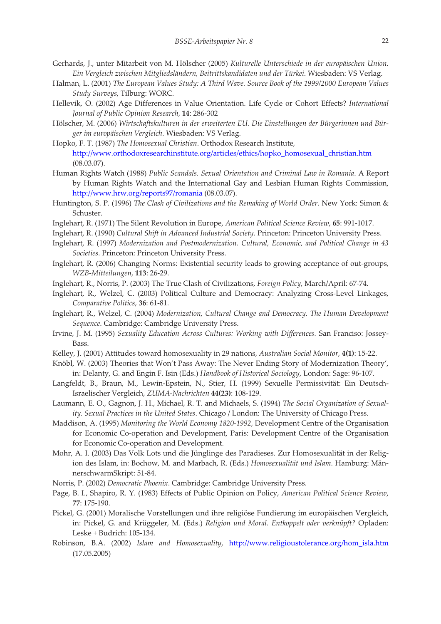- Gerhards, J., unter Mitarbeit von M. Hölscher (2005) *Kulturelle Unterschiede in der europäischen Union. Ein Vergleich zwischen Mitgliedsländern, Beitrittskandidaten und der Türkei*. Wiesbaden: VS Verlag.
- Halman, L. (2001) *The European Values Study: A Third Wave. Source Book of the 1999/2000 European Values Study Surveys*, Tilburg: WORC.
- Hellevik, O. (2002) Age Differences in Value Orientation. Life Cycle or Cohort Effects? *International Journal of Public Opinion Research*, **14**: 286Ȭ302
- Hölscher, M. (2006) *Wirtschaftskulturen in der erweiterten EU. Die Einstellungen der Bürgerinnen und BürȬ ger im europäischen Vergleich*. Wiesbaden: VS Verlag.ȱȱ
- Hopko, F. T. (1987) *The Homosexual Christian*. Orthodox Research Institute, http://www.orthodoxresearchinstitute.org/articles/ethics/hopko\_homosexual\_christian.htm (08.03.07).
- Human Rights Watch (1988) *Public Scandals. Sexual Orientation and Criminal Law in Romania*. A Report by Human Rights Watch and the International Gay and Lesbian Human Rights Commission, http://www.hrw.org/reports97/romania (08.03.07).
- Huntington, S. P. (1996) *The Clash of Civilizations and the Remaking of World Order*. New York: Simon & Schuster.
- Inglehart, R. (1971) The Silent Revolution in Europe, *American Political Science Review*, **65**: 991Ȭ1017.
- Inglehart, R. (1990) *Cultural Shift in Advanced Industrial Society*. Princeton: Princeton University Press.ȱȱ
- Inglehart, R. (1997) *Modernization and Postmodernization. Cultural, Economic, and Political Change in 43 Societies*. Princeton: Princeton University Press.
- Inglehart, R. (2006) Changing Norms: Existential security leads to growing acceptance of out-groups, *WZBȬMitteilungen*, **113**: 26Ȭ29.
- Inglehart, R., Norris, P. (2003) The True Clash of Civilizations, *Foreign Policy*, March/April: 67Ȭ74.
- Inglehart, R., Welzel, C. (2003) Political Culture and Democracy: Analyzing Cross-Level Linkages, *Comparative Politics*, 36: 61-81.
- Inglehart, R., Welzel, C. (2004) *Modernization, Cultural Change and Democracy. The Human Development Sequence*. Cambridge: Cambridge University Press.
- Irvine, J. M. (1995) *Sexuality Education Across Cultures: Working with Differences.* San Franciso: JosseyȬ Bass.
- Kelley, J. (2001) Attitudes toward homosexuality in 29 nations, *Australian Social Monitor*, **4(1)**: 15Ȭ22.
- Knöbl, W. (2003) Theories that Won't Pass Away: The Never Ending Story of Modernization Theory', in: Delanty, G. and Engin F. Isin (Eds.) *Handbook of Historical Sociology*, London: Sage: 96-107.
- Langfeldt, B., Braun, M., Lewin-Epstein, N., Stier, H. (1999) Sexuelle Permissivität: Ein Deutsch-Israelischer Vergleich, *ZUMAȬNachrichten* **44(23)**: 108Ȭ129.ȱȱ
- Laumann, E. O., Gagnon, J. H., Michael, R. T. and Michaels, S. (1994) *The Social Organization of Sexual ity. Sexual Practices in the United States.* Chicago */ London: The University of Chicago Press.*
- Maddison, A. (1995) *Monitoring the World Economy 1820Ȭ1992*, Development Centre of the Organisation for Economic Co-operation and Development, Paris: Development Centre of the Organisation for Economic Co-operation and Development.
- Mohr, A. I. (2003) Das Volk Lots und die Jünglinge des Paradieses. Zur Homosexualität in der Religion des Islam, in: Bochow, M. and Marbach, R. (Eds.) *Homosexualität und Islam*. Hamburg: MännerschwarmSkript: 51-84.
- Norris, P. (2002) *Democratic Phoenix*. Cambridge: Cambridge University Press.
- Page, B. I., Shapiro, R. Y. (1983) Effects of Public Opinion on Policy, *American Political Science Review*, **77**: 175Ȭ190.
- Pickel, G. (2001) Moralische Vorstellungen und ihre religiöse Fundierung im europäischen Vergleich, in: Pickel, G. and Krüggeler, M. (Eds.) *Religion und Moral. Entkoppelt oder verknüpft?* Opladen: Leske + Budrich: 105-134.
- Robinson, B.A. (2002) *Islam and Homosexuality*, http://www.religioustolerance.org/hom\_isla.htm (17.05.2005)